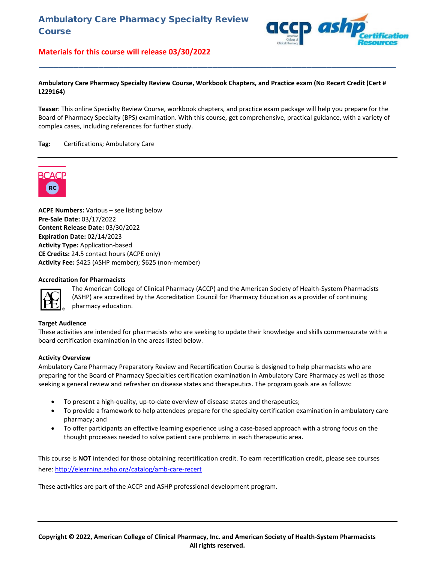

#### **Ambulatory Care Pharmacy Specialty Review Course, Workbook Chapters, and Practice exam (No Recert Credit (Cert # L229164)**

**\_\_\_\_\_\_\_\_\_\_\_\_\_\_\_\_\_\_\_\_\_\_\_\_\_\_\_\_\_\_\_\_\_\_\_\_\_\_\_\_\_\_\_\_\_\_\_\_\_\_\_\_\_\_\_\_\_\_\_\_\_\_\_\_\_\_\_\_\_\_\_\_**

**Teaser**: This online Specialty Review Course, workbook chapters, and practice exam package will help you prepare for the Board of Pharmacy Specialty (BPS) examination. With this course, get comprehensive, practical guidance, with a variety of complex cases, including references for further study.

#### **Tag:** Certifications; Ambulatory Care



**ACPE Numbers:** Various – see listing below **Pre-Sale Date:** 03/17/2022 **Content Release Date:** 03/30/2022 **Expiration Date:** 02/14/2023 **Activity Type:** Application-based **CE Credits:** 24.5 contact hours (ACPE only) **Activity Fee:** \$425 (ASHP member); \$625 (non-member)

#### **Accreditation for Pharmacists**



The American College of Clinical Pharmacy (ACCP) and the American Society of Health-System Pharmacists (ASHP) are accredited by the Accreditation Council for Pharmacy Education as a provider of continuing pharmacy education.

#### **Target Audience**

These activities are intended for pharmacists who are seeking to update their knowledge and skills commensurate with a board certification examination in the areas listed below.

#### **Activity Overview**

Ambulatory Care Pharmacy Preparatory Review and Recertification Course is designed to help pharmacists who are preparing for the Board of Pharmacy Specialties certification examination in Ambulatory Care Pharmacy as well as those seeking a general review and refresher on disease states and therapeutics. The program goals are as follows:

- To present a high-quality, up-to-date overview of disease states and therapeutics;
- To provide a framework to help attendees prepare for the specialty certification examination in ambulatory care pharmacy; and
- To offer participants an effective learning experience using a case-based approach with a strong focus on the thought processes needed to solve patient care problems in each therapeutic area.

This course is **NOT** intended for those obtaining recertification credit. To earn recertification credit, please see courses here[: http://elearning.ashp.org/catalog/amb-care-recert](http://elearning.ashp.org/catalog/amb-care-recert)

These activities are part of the ACCP and ASHP professional development program.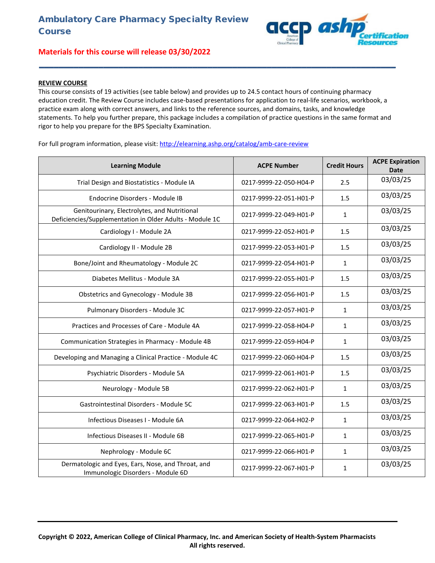### **REVIEW COURSE**

This course consists of 19 activities (see table below) and provides up to 24.5 contact hours of continuing pharmacy education credit. The Review Course includes case-based presentations for application to real-life scenarios, workbook, a practice exam along with correct answers, and links to the reference sources, and domains, tasks, and knowledge statements. To help you further prepare, this package includes a compilation of practice questions in the same format and rigor to help you prepare for the BPS Specialty Examination.

**\_\_\_\_\_\_\_\_\_\_\_\_\_\_\_\_\_\_\_\_\_\_\_\_\_\_\_\_\_\_\_\_\_\_\_\_\_\_\_\_\_\_\_\_\_\_\_\_\_\_\_\_\_\_\_\_\_\_\_\_\_\_\_\_\_\_\_\_\_\_\_\_**

p ask

For full program information, please visit:<http://elearning.ashp.org/catalog/amb-care-review>

| <b>Learning Module</b>                                                                                   | <b>ACPE Number</b>     | <b>Credit Hours</b> | <b>ACPE Expiration</b><br><b>Date</b> |
|----------------------------------------------------------------------------------------------------------|------------------------|---------------------|---------------------------------------|
| Trial Design and Biostatistics - Module IA                                                               | 0217-9999-22-050-H04-P | 2.5                 | 03/03/25                              |
| Endocrine Disorders - Module IB                                                                          | 0217-9999-22-051-H01-P | 1.5                 | 03/03/25                              |
| Genitourinary, Electrolytes, and Nutritional<br>Deficiencies/Supplementation in Older Adults - Module 1C | 0217-9999-22-049-H01-P | $\mathbf{1}$        | 03/03/25                              |
| Cardiology I - Module 2A                                                                                 | 0217-9999-22-052-H01-P | 1.5                 | 03/03/25                              |
| Cardiology II - Module 2B                                                                                | 0217-9999-22-053-H01-P | 1.5                 | 03/03/25                              |
| Bone/Joint and Rheumatology - Module 2C                                                                  | 0217-9999-22-054-H01-P | $\mathbf{1}$        | 03/03/25                              |
| Diabetes Mellitus - Module 3A                                                                            | 0217-9999-22-055-H01-P | 1.5                 | 03/03/25                              |
| Obstetrics and Gynecology - Module 3B                                                                    | 0217-9999-22-056-H01-P | 1.5                 | 03/03/25                              |
| Pulmonary Disorders - Module 3C                                                                          | 0217-9999-22-057-H01-P | $\mathbf{1}$        | 03/03/25                              |
| Practices and Processes of Care - Module 4A                                                              | 0217-9999-22-058-H04-P | $\mathbf{1}$        | 03/03/25                              |
| Communication Strategies in Pharmacy - Module 4B                                                         | 0217-9999-22-059-H04-P | $\mathbf{1}$        | 03/03/25                              |
| Developing and Managing a Clinical Practice - Module 4C                                                  | 0217-9999-22-060-H04-P | 1.5                 | 03/03/25                              |
| Psychiatric Disorders - Module 5A                                                                        | 0217-9999-22-061-H01-P | 1.5                 | 03/03/25                              |
| Neurology - Module 5B                                                                                    | 0217-9999-22-062-H01-P | $\mathbf{1}$        | 03/03/25                              |
| Gastrointestinal Disorders - Module 5C                                                                   | 0217-9999-22-063-H01-P | 1.5                 | 03/03/25                              |
| Infectious Diseases I - Module 6A                                                                        | 0217-9999-22-064-H02-P | $\mathbf{1}$        | 03/03/25                              |
| Infectious Diseases II - Module 6B                                                                       | 0217-9999-22-065-H01-P | 1                   | 03/03/25                              |
| Nephrology - Module 6C                                                                                   | 0217-9999-22-066-H01-P | $\mathbf{1}$        | 03/03/25                              |
| Dermatologic and Eyes, Ears, Nose, and Throat, and<br>Immunologic Disorders - Module 6D                  | 0217-9999-22-067-H01-P | $\mathbf{1}$        | 03/03/25                              |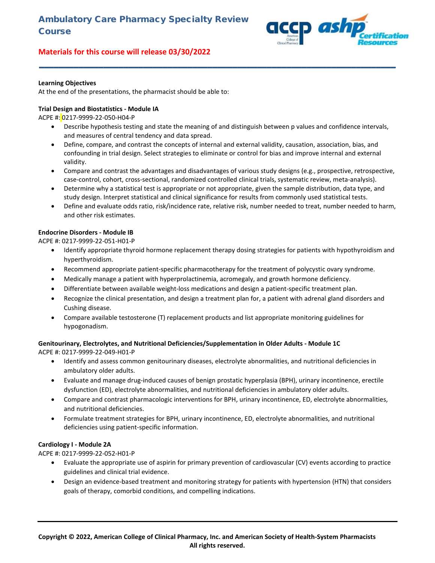

#### **Learning Objectives**

At the end of the presentations, the pharmacist should be able to:

#### **Trial Design and Biostatistics - Module IA**

ACPE #: 0217-9999-22-050-H04-P

• Describe hypothesis testing and state the meaning of and distinguish between p values and confidence intervals, and measures of central tendency and data spread.

**\_\_\_\_\_\_\_\_\_\_\_\_\_\_\_\_\_\_\_\_\_\_\_\_\_\_\_\_\_\_\_\_\_\_\_\_\_\_\_\_\_\_\_\_\_\_\_\_\_\_\_\_\_\_\_\_\_\_\_\_\_\_\_\_\_\_\_\_\_\_\_\_**

- Define, compare, and contrast the concepts of internal and external validity, causation, association, bias, and confounding in trial design. Select strategies to eliminate or control for bias and improve internal and external validity.
- Compare and contrast the advantages and disadvantages of various study designs (e.g., prospective, retrospective, case-control, cohort, cross-sectional, randomized controlled clinical trials, systematic review, meta-analysis).
- Determine why a statistical test is appropriate or not appropriate, given the sample distribution, data type, and study design. Interpret statistical and clinical significance for results from commonly used statistical tests.
- Define and evaluate odds ratio, risk/incidence rate, relative risk, number needed to treat, number needed to harm, and other risk estimates.

#### **Endocrine Disorders - Module IB**

ACPE #: 0217-9999-22-051-H01-P

- Identify appropriate thyroid hormone replacement therapy dosing strategies for patients with hypothyroidism and hyperthyroidism.
- Recommend appropriate patient-specific pharmacotherapy for the treatment of polycystic ovary syndrome.
- Medically manage a patient with hyperprolactinemia, acromegaly, and growth hormone deficiency.
- Differentiate between available weight-loss medications and design a patient-specific treatment plan.
- Recognize the clinical presentation, and design a treatment plan for, a patient with adrenal gland disorders and Cushing disease.
- Compare available testosterone (T) replacement products and list appropriate monitoring guidelines for hypogonadism.

#### **Genitourinary, Electrolytes, and Nutritional Deficiencies/Supplementation in Older Adults - Module 1C** ACPE #: 0217-9999-22-049-H01-P

- Identify and assess common genitourinary diseases, electrolyte abnormalities, and nutritional deficiencies in ambulatory older adults.
- Evaluate and manage drug-induced causes of benign prostatic hyperplasia (BPH), urinary incontinence, erectile dysfunction (ED), electrolyte abnormalities, and nutritional deficiencies in ambulatory older adults.
- Compare and contrast pharmacologic interventions for BPH, urinary incontinence, ED, electrolyte abnormalities, and nutritional deficiencies.
- Formulate treatment strategies for BPH, urinary incontinence, ED, electrolyte abnormalities, and nutritional deficiencies using patient-specific information.

#### **Cardiology I - Module 2A**

ACPE #: 0217-9999-22-052-H01-P

- Evaluate the appropriate use of aspirin for primary prevention of cardiovascular (CV) events according to practice guidelines and clinical trial evidence.
- Design an evidence-based treatment and monitoring strategy for patients with hypertension (HTN) that considers goals of therapy, comorbid conditions, and compelling indications.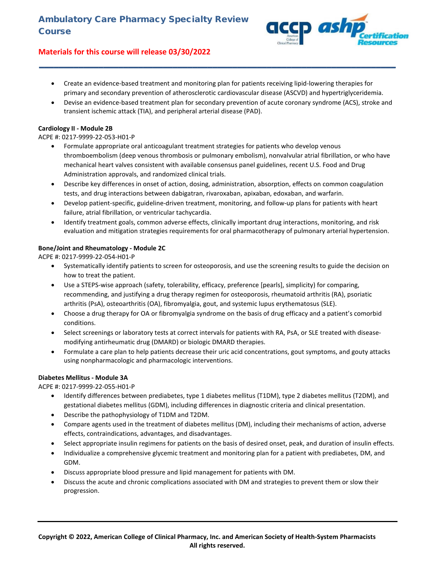

• Create an evidence-based treatment and monitoring plan for patients receiving lipid-lowering therapies for primary and secondary prevention of atherosclerotic cardiovascular disease (ASCVD) and hypertriglyceridemia.

**\_\_\_\_\_\_\_\_\_\_\_\_\_\_\_\_\_\_\_\_\_\_\_\_\_\_\_\_\_\_\_\_\_\_\_\_\_\_\_\_\_\_\_\_\_\_\_\_\_\_\_\_\_\_\_\_\_\_\_\_\_\_\_\_\_\_\_\_\_\_\_\_**

• Devise an evidence-based treatment plan for secondary prevention of acute coronary syndrome (ACS), stroke and transient ischemic attack (TIA), and peripheral arterial disease (PAD).

#### **Cardiology II - Module 2B**

## ACPE #: 0217-9999-22-053-H01-P

- Formulate appropriate oral anticoagulant treatment strategies for patients who develop venous thromboembolism (deep venous thrombosis or pulmonary embolism), nonvalvular atrial fibrillation, or who have mechanical heart valves consistent with available consensus panel guidelines, recent U.S. Food and Drug Administration approvals, and randomized clinical trials.
- Describe key differences in onset of action, dosing, administration, absorption, effects on common coagulation tests, and drug interactions between dabigatran, rivaroxaban, apixaban, edoxaban, and warfarin.
- Develop patient-specific, guideline-driven treatment, monitoring, and follow-up plans for patients with heart failure, atrial fibrillation, or ventricular tachycardia.
- Identify treatment goals, common adverse effects, clinically important drug interactions, monitoring, and risk evaluation and mitigation strategies requirements for oral pharmacotherapy of pulmonary arterial hypertension.

## **Bone/Joint and Rheumatology - Module 2C**

ACPE #: 0217-9999-22-054-H01-P

- Systematically identify patients to screen for osteoporosis, and use the screening results to guide the decision on how to treat the patient.
- Use a STEPS-wise approach (safety, tolerability, efficacy, preference [pearls], simplicity) for comparing, recommending, and justifying a drug therapy regimen for osteoporosis, rheumatoid arthritis (RA), psoriatic arthritis (PsA), osteoarthritis (OA), fibromyalgia, gout, and systemic lupus erythematosus (SLE).
- Choose a drug therapy for OA or fibromyalgia syndrome on the basis of drug efficacy and a patient's comorbid conditions.
- Select screenings or laboratory tests at correct intervals for patients with RA, PsA, or SLE treated with diseasemodifying antirheumatic drug (DMARD) or biologic DMARD therapies.
- Formulate a care plan to help patients decrease their uric acid concentrations, gout symptoms, and gouty attacks using nonpharmacologic and pharmacologic interventions.

## **Diabetes Mellitus - Module 3A**

ACPE #: 0217-9999-22-055-H01-P

- Identify differences between prediabetes, type 1 diabetes mellitus (T1DM), type 2 diabetes mellitus (T2DM), and gestational diabetes mellitus (GDM), including differences in diagnostic criteria and clinical presentation.
- Describe the pathophysiology of T1DM and T2DM.
- Compare agents used in the treatment of diabetes mellitus (DM), including their mechanisms of action, adverse effects, contraindications, advantages, and disadvantages.
- Select appropriate insulin regimens for patients on the basis of desired onset, peak, and duration of insulin effects.
- Individualize a comprehensive glycemic treatment and monitoring plan for a patient with prediabetes, DM, and GDM.
- Discuss appropriate blood pressure and lipid management for patients with DM.
- Discuss the acute and chronic complications associated with DM and strategies to prevent them or slow their progression.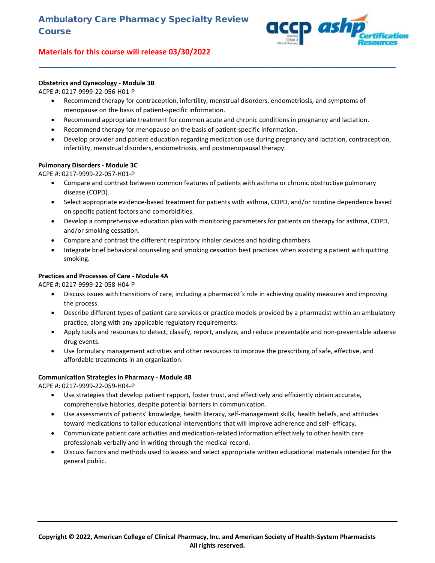

## **Obstetrics and Gynecology - Module 3B**

ACPE #: 0217-9999-22-056-H01-P

• Recommend therapy for contraception, infertility, menstrual disorders, endometriosis, and symptoms of menopause on the basis of patient-specific information.

**\_\_\_\_\_\_\_\_\_\_\_\_\_\_\_\_\_\_\_\_\_\_\_\_\_\_\_\_\_\_\_\_\_\_\_\_\_\_\_\_\_\_\_\_\_\_\_\_\_\_\_\_\_\_\_\_\_\_\_\_\_\_\_\_\_\_\_\_\_\_\_\_**

- Recommend appropriate treatment for common acute and chronic conditions in pregnancy and lactation.
- Recommend therapy for menopause on the basis of patient-specific information.
- Develop provider and patient education regarding medication use during pregnancy and lactation, contraception, infertility, menstrual disorders, endometriosis, and postmenopausal therapy.

#### **Pulmonary Disorders - Module 3C**

ACPE #: 0217-9999-22-057-H01-P

- Compare and contrast between common features of patients with asthma or chronic obstructive pulmonary disease (COPD).
- Select appropriate evidence-based treatment for patients with asthma, COPD, and/or nicotine dependence based on specific patient factors and comorbidities.
- Develop a comprehensive education plan with monitoring parameters for patients on therapy for asthma, COPD, and/or smoking cessation.
- Compare and contrast the different respiratory inhaler devices and holding chambers.
- Integrate brief behavioral counseling and smoking cessation best practices when assisting a patient with quitting smoking.

#### **Practices and Processes of Care - Module 4A**

ACPE #: 0217-9999-22-058-H04-P

- Discuss issues with transitions of care, including a pharmacist's role in achieving quality measures and improving the process.
- Describe different types of patient care services or practice models provided by a pharmacist within an ambulatory practice, along with any applicable regulatory requirements.
- Apply tools and resources to detect, classify, report, analyze, and reduce preventable and non-preventable adverse drug events.
- Use formulary management activities and other resources to improve the prescribing of safe, effective, and affordable treatments in an organization.

#### **Communication Strategies in Pharmacy - Module 4B**

ACPE #: 0217-9999-22-059-H04-P

- Use strategies that develop patient rapport, foster trust, and effectively and efficiently obtain accurate, comprehensive histories, despite potential barriers in communication.
- Use assessments of patients' knowledge, health literacy, self-management skills, health beliefs, and attitudes toward medications to tailor educational interventions that will improve adherence and self- efficacy.
- Communicate patient care activities and medication-related information effectively to other health care professionals verbally and in writing through the medical record.
- Discuss factors and methods used to assess and select appropriate written educational materials intended for the general public.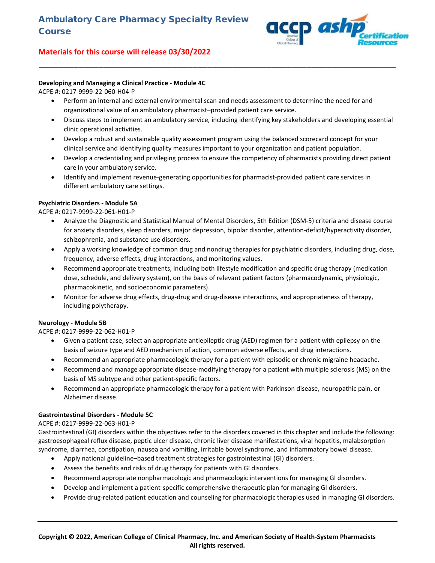

## **Developing and Managing a Clinical Practice - Module 4C**

#### ACPE #: 0217-9999-22-060-H04-P

• Perform an internal and external environmental scan and needs assessment to determine the need for and organizational value of an ambulatory pharmacist–provided patient care service.

**\_\_\_\_\_\_\_\_\_\_\_\_\_\_\_\_\_\_\_\_\_\_\_\_\_\_\_\_\_\_\_\_\_\_\_\_\_\_\_\_\_\_\_\_\_\_\_\_\_\_\_\_\_\_\_\_\_\_\_\_\_\_\_\_\_\_\_\_\_\_\_\_**

- Discuss steps to implement an ambulatory service, including identifying key stakeholders and developing essential clinic operational activities.
- Develop a robust and sustainable quality assessment program using the balanced scorecard concept for your clinical service and identifying quality measures important to your organization and patient population.
- Develop a credentialing and privileging process to ensure the competency of pharmacists providing direct patient care in your ambulatory service.
- Identify and implement revenue-generating opportunities for pharmacist-provided patient care services in different ambulatory care settings.

#### **Psychiatric Disorders - Module 5A**

ACPE #: 0217-9999-22-061-H01-P

- Analyze the Diagnostic and Statistical Manual of Mental Disorders, 5th Edition (DSM-5) criteria and disease course for anxiety disorders, sleep disorders, major depression, bipolar disorder, attention-deficit/hyperactivity disorder, schizophrenia, and substance use disorders.
- Apply a working knowledge of common drug and nondrug therapies for psychiatric disorders, including drug, dose, frequency, adverse effects, drug interactions, and monitoring values.
- Recommend appropriate treatments, including both lifestyle modification and specific drug therapy (medication dose, schedule, and delivery system), on the basis of relevant patient factors (pharmacodynamic, physiologic, pharmacokinetic, and socioeconomic parameters).
- Monitor for adverse drug effects, drug-drug and drug-disease interactions, and appropriateness of therapy, including polytherapy.

#### **Neurology - Module 5B**

ACPE #: 0217-9999-22-062-H01-P

- Given a patient case, select an appropriate antiepileptic drug (AED) regimen for a patient with epilepsy on the basis of seizure type and AED mechanism of action, common adverse effects, and drug interactions.
- Recommend an appropriate pharmacologic therapy for a patient with episodic or chronic migraine headache.
- Recommend and manage appropriate disease-modifying therapy for a patient with multiple sclerosis (MS) on the basis of MS subtype and other patient-specific factors.
- Recommend an appropriate pharmacologic therapy for a patient with Parkinson disease, neuropathic pain, or Alzheimer disease.

## **Gastrointestinal Disorders - Module 5C**

#### ACPE #: 0217-9999-22-063-H01-P

Gastrointestinal (GI) disorders within the objectives refer to the disorders covered in this chapter and include the following: gastroesophageal reflux disease, peptic ulcer disease, chronic liver disease manifestations, viral hepatitis, malabsorption syndrome, diarrhea, constipation, nausea and vomiting, irritable bowel syndrome, and inflammatory bowel disease.

- Apply national guideline–based treatment strategies for gastrointestinal (GI) disorders.
- Assess the benefits and risks of drug therapy for patients with GI disorders.
- Recommend appropriate nonpharmacologic and pharmacologic interventions for managing GI disorders.
- Develop and implement a patient-specific comprehensive therapeutic plan for managing GI disorders.
- Provide drug-related patient education and counseling for pharmacologic therapies used in managing GI disorders.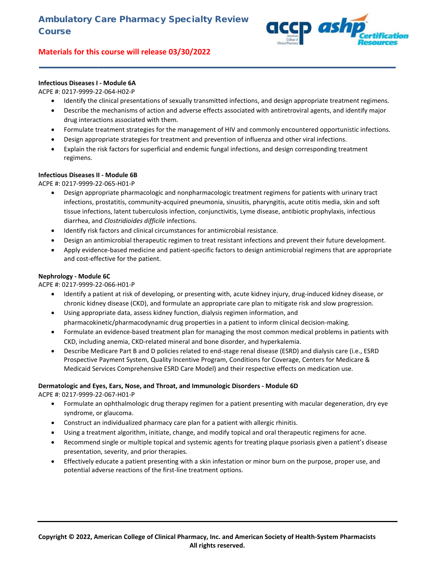

## **Infectious Diseases I - Module 6A**

#### ACPE #: 0217-9999-22-064-H02-P

• Identify the clinical presentations of sexually transmitted infections, and design appropriate treatment regimens.

**\_\_\_\_\_\_\_\_\_\_\_\_\_\_\_\_\_\_\_\_\_\_\_\_\_\_\_\_\_\_\_\_\_\_\_\_\_\_\_\_\_\_\_\_\_\_\_\_\_\_\_\_\_\_\_\_\_\_\_\_\_\_\_\_\_\_\_\_\_\_\_\_**

- Describe the mechanisms of action and adverse effects associated with antiretroviral agents, and identify major drug interactions associated with them.
- Formulate treatment strategies for the management of HIV and commonly encountered opportunistic infections.
- Design appropriate strategies for treatment and prevention of influenza and other viral infections.
- Explain the risk factors for superficial and endemic fungal infections, and design corresponding treatment regimens.

#### **Infectious Diseases II - Module 6B**

ACPE #: 0217-9999-22-065-H01-P

- Design appropriate pharmacologic and nonpharmacologic treatment regimens for patients with urinary tract infections, prostatitis, community-acquired pneumonia, sinusitis, pharyngitis, acute otitis media, skin and soft tissue infections, latent tuberculosis infection, conjunctivitis, Lyme disease, antibiotic prophylaxis, infectious diarrhea, and *Clostridioides difficile* infections.
- Identify risk factors and clinical circumstances for antimicrobial resistance.
- Design an antimicrobial therapeutic regimen to treat resistant infections and prevent their future development.
- Apply evidence-based medicine and patient-specific factors to design antimicrobial regimens that are appropriate and cost-effective for the patient.

#### **Nephrology - Module 6C**

ACPE #: 0217-9999-22-066-H01-P

- Identify a patient at risk of developing, or presenting with, acute kidney injury, drug-induced kidney disease, or chronic kidney disease (CKD), and formulate an appropriate care plan to mitigate risk and slow progression.
- Using appropriate data, assess kidney function, dialysis regimen information, and pharmacokinetic/pharmacodynamic drug properties in a patient to inform clinical decision-making.
- Formulate an evidence-based treatment plan for managing the most common medical problems in patients with CKD, including anemia, CKD-related mineral and bone disorder, and hyperkalemia.
- Describe Medicare Part B and D policies related to end-stage renal disease (ESRD) and dialysis care (i.e., ESRD Prospective Payment System, Quality Incentive Program, Conditions for Coverage, Centers for Medicare & Medicaid Services Comprehensive ESRD Care Model) and their respective effects on medication use.

#### **Dermatologic and Eyes, Ears, Nose, and Throat, and Immunologic Disorders - Module 6D**

ACPE #: 0217-9999-22-067-H01-P

- Formulate an ophthalmologic drug therapy regimen for a patient presenting with macular degeneration, dry eye syndrome, or glaucoma.
- Construct an individualized pharmacy care plan for a patient with allergic rhinitis.
- Using a treatment algorithm, initiate, change, and modify topical and oral therapeutic regimens for acne.
- Recommend single or multiple topical and systemic agents for treating plaque psoriasis given a patient's disease presentation, severity, and prior therapies.
- Effectively educate a patient presenting with a skin infestation or minor burn on the purpose, proper use, and potential adverse reactions of the first-line treatment options.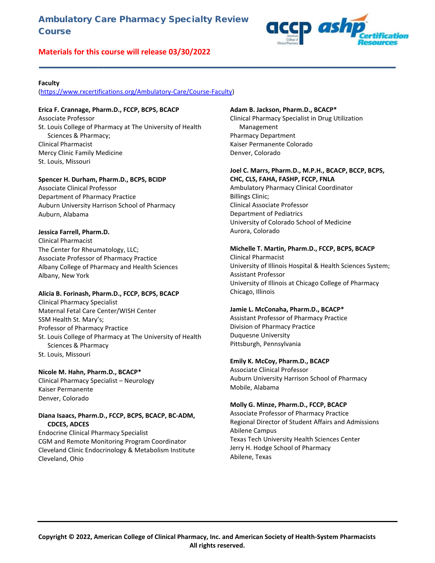# Ambulatory Care Pharmacy Specialty Review Course

# **Materials for this course will release 03/30/2022**



#### **Faculty**

[\(https://www.rxcertifications.org/Ambulatory-Care/Course-Faculty\)](https://www.rxcertifications.org/Ambulatory-Care/Course-Faculty)

#### **Erica F. Crannage, Pharm.D., FCCP, BCPS, BCACP**

Associate Professor St. Louis College of Pharmacy at The University of Health Sciences & Pharmacy; Clinical Pharmacist Mercy Clinic Family Medicine St. Louis, Missouri

#### **Spencer H. Durham, Pharm.D., BCPS, BCIDP**

Associate Clinical Professor Department of Pharmacy Practice Auburn University Harrison School of Pharmacy Auburn, Alabama

#### **Jessica Farrell, Pharm.D.**

Clinical Pharmacist The Center for Rheumatology, LLC; Associate Professor of Pharmacy Practice Albany College of Pharmacy and Health Sciences Albany, New York

#### **Alicia B. Forinash, Pharm.D., FCCP, BCPS, BCACP**

Clinical Pharmacy Specialist Maternal Fetal Care Center/WISH Center SSM Health St. Mary's; Professor of Pharmacy Practice St. Louis College of Pharmacy at The University of Health Sciences & Pharmacy St. Louis, Missouri

#### **Nicole M. Hahn, Pharm.D., BCACP\***

Clinical Pharmacy Specialist – Neurology Kaiser Permanente Denver, Colorado

#### **Diana Isaacs, Pharm.D., FCCP, BCPS, BCACP, BC-ADM, CDCES, ADCES**

Endocrine Clinical Pharmacy Specialist CGM and Remote Monitoring Program Coordinator Cleveland Clinic Endocrinology & Metabolism Institute Cleveland, Ohio

#### **Adam B. Jackson, Pharm.D., BCACP\***

**\_\_\_\_\_\_\_\_\_\_\_\_\_\_\_\_\_\_\_\_\_\_\_\_\_\_\_\_\_\_\_\_\_\_\_\_\_\_\_\_\_\_\_\_\_\_\_\_\_\_\_\_\_\_\_\_\_\_\_\_\_\_\_\_\_\_\_\_\_\_\_\_**

Clinical Pharmacy Specialist in Drug Utilization Management Pharmacy Department Kaiser Permanente Colorado Denver, Colorado

## **Joel C. Marrs, Pharm.D., M.P.H., BCACP, BCCP, BCPS,**

**CHC, CLS, FAHA, FASHP, FCCP, FNLA** Ambulatory Pharmacy Clinical Coordinator Billings Clinic; Clinical Associate Professor Department of Pediatrics University of Colorado School of Medicine Aurora, Colorado

#### **Michelle T. Martin, Pharm.D., FCCP, BCPS, BCACP**

Clinical Pharmacist University of Illinois Hospital & Health Sciences System; Assistant Professor University of Illinois at Chicago College of Pharmacy Chicago, Illinois

#### **Jamie L. McConaha, Pharm.D., BCACP\***

Assistant Professor of Pharmacy Practice Division of Pharmacy Practice Duquesne University Pittsburgh, Pennsylvania

#### **Emily K. McCoy, Pharm.D., BCACP**

Associate Clinical Professor Auburn University Harrison School of Pharmacy Mobile, Alabama

#### **Molly G. Minze, Pharm.D., FCCP, BCACP**

Associate Professor of Pharmacy Practice Regional Director of Student Affairs and Admissions Abilene Campus Texas Tech University Health Sciences Center Jerry H. Hodge School of Pharmacy Abilene, Texas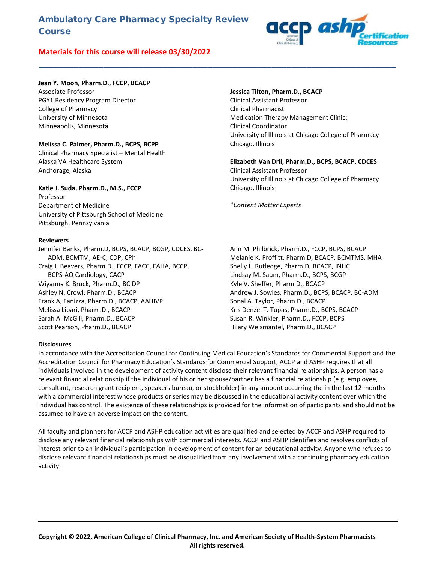# Ambulatory Care Pharmacy Specialty Review **Course**

# **Materials for this course will release 03/30/2022**



#### **Jean Y. Moon, Pharm.D., FCCP, BCACP**

Associate Professor PGY1 Residency Program Director College of Pharmacy University of Minnesota Minneapolis, Minnesota

#### **Melissa C. Palmer, Pharm.D., BCPS, BCPP**

Clinical Pharmacy Specialist – Mental Health Alaska VA Healthcare System Anchorage, Alaska

## **Katie J. Suda, Pharm.D., M.S., FCCP**

Professor Department of Medicine University of Pittsburgh School of Medicine Pittsburgh, Pennsylvania

#### **Reviewers**

Jennifer Banks, Pharm.D, BCPS, BCACP, BCGP, CDCES, BC-ADM, BCMTM, AE-C, CDP, CPh Craig J. Beavers, Pharm.D., FCCP, FACC, FAHA, BCCP, BCPS-AQ Cardiology, CACP Wiyanna K. Bruck, Pharm.D., BCIDP Ashley N. Crowl, Pharm.D., BCACP Frank A, Fanizza, Pharm.D., BCACP, AAHIVP Melissa Lipari, Pharm.D., BCACP Sarah A. McGill, Pharm.D., BCACP Scott Pearson, Pharm.D., BCACP

#### **Jessica Tilton, Pharm.D., BCACP**

Clinical Assistant Professor Clinical Pharmacist Medication Therapy Management Clinic; Clinical Coordinator University of Illinois at Chicago College of Pharmacy Chicago, Illinois

#### **Elizabeth Van Dril, Pharm.D., BCPS, BCACP, CDCES** Clinical Assistant Professor University of Illinois at Chicago College of Pharmacy Chicago, Illinois

*\*Content Matter Experts*

Ann M. Philbrick, Pharm.D., FCCP, BCPS, BCACP Melanie K. Proffitt, Pharm.D, BCACP, BCMTMS, MHA Shelly L. Rutledge, Pharm.D, BCACP, INHC Lindsay M. Saum, Pharm.D., BCPS, BCGP Kyle V. Sheffer, Pharm.D., BCACP Andrew J. Sowles, Pharm.D., BCPS, BCACP, BC-ADM Sonal A. Taylor, Pharm.D., BCACP Kris Denzel T. Tupas, Pharm.D., BCPS, BCACP Susan R. Winkler, Pharm.D., FCCP, BCPS Hilary Weismantel, Pharm.D., BCACP

#### **Disclosures**

In accordance with the Accreditation Council for Continuing Medical Education's Standards for Commercial Support and the Accreditation Council for Pharmacy Education's Standards for Commercial Support, ACCP and ASHP requires that all individuals involved in the development of activity content disclose their relevant financial relationships. A person has a relevant financial relationship if the individual of his or her spouse/partner has a financial relationship (e.g. employee, consultant, research grant recipient, speakers bureau, or stockholder) in any amount occurring the in the last 12 months with a commercial interest whose products or series may be discussed in the educational activity content over which the individual has control. The existence of these relationships is provided for the information of participants and should not be assumed to have an adverse impact on the content.

**\_\_\_\_\_\_\_\_\_\_\_\_\_\_\_\_\_\_\_\_\_\_\_\_\_\_\_\_\_\_\_\_\_\_\_\_\_\_\_\_\_\_\_\_\_\_\_\_\_\_\_\_\_\_\_\_\_\_\_\_\_\_\_\_\_\_\_\_\_\_\_\_**

All faculty and planners for ACCP and ASHP education activities are qualified and selected by ACCP and ASHP required to disclose any relevant financial relationships with commercial interests. ACCP and ASHP identifies and resolves conflicts of interest prior to an individual's participation in development of content for an educational activity. Anyone who refuses to disclose relevant financial relationships must be disqualified from any involvement with a continuing pharmacy education activity.